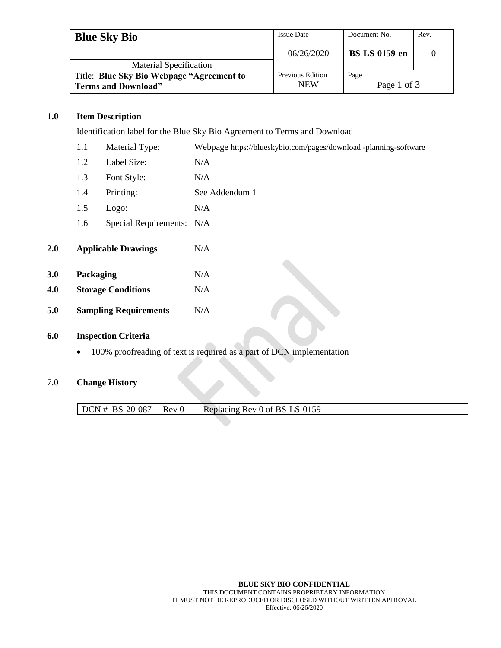| <b>Blue Sky Bio</b>                       | <b>Issue Date</b> | Document No.         | Rev. |
|-------------------------------------------|-------------------|----------------------|------|
|                                           | 06/26/2020        | <b>BS-LS-0159-en</b> |      |
| <b>Material Specification</b>             |                   |                      |      |
| Title: Blue Sky Bio Webpage "Agreement to | Previous Edition  | Page                 |      |
| <b>Terms and Download"</b>                | <b>NEW</b>        | Page 1 of 3          |      |

## **1.0 Item Description**

Identification label for the Blue Sky Bio Agreement to Terms and Download

| 1.1<br>Material Type: |           |                              | Webpage https://blueskybio.com/pages/download -planning-software |
|-----------------------|-----------|------------------------------|------------------------------------------------------------------|
|                       | 1.2       | Label Size:                  | N/A                                                              |
|                       | 1.3       | Font Style:                  | N/A                                                              |
|                       | 1.4       | Printing:                    | See Addendum 1                                                   |
|                       | 1.5       | Logo:                        | N/A                                                              |
|                       | 1.6       | Special Requirements: N/A    |                                                                  |
| 2.0                   |           | <b>Applicable Drawings</b>   | N/A                                                              |
| 3.0                   | Packaging |                              | N/A                                                              |
| 4.0                   |           | <b>Storage Conditions</b>    | N/A                                                              |
| 5.0                   |           | <b>Sampling Requirements</b> | N/A                                                              |
|                       |           |                              |                                                                  |

# **6.0 Inspection Criteria**

• 100% proofreading of text is required as a part of DCN implementation

#### 7.0 **Change History**

 $\sqrt{\text{DCN} + \text{BS} - 20 - 087}$  Rev 0 Replacing Rev 0 of BS-LS-0159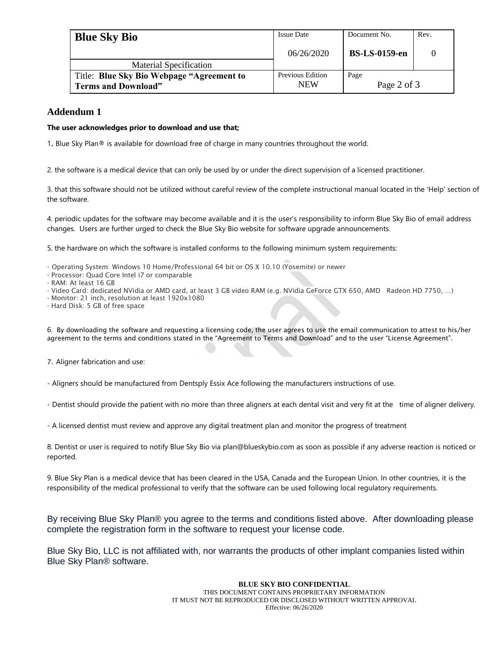| <b>Blue Sky Bio</b>                       | <b>Issue Date</b>       | Document No.         | Rev. |
|-------------------------------------------|-------------------------|----------------------|------|
|                                           | 06/26/2020              | <b>BS-LS-0159-en</b> |      |
| <b>Material Specification</b>             |                         |                      |      |
| Title: Blue Sky Bio Webpage "Agreement to | <b>Previous Edition</b> | Page                 |      |
| <b>Terms and Download"</b>                | <b>NEW</b>              | Page 2 of 3          |      |

## **Addendum 1**

#### **The user acknowledges prior to download and use that;**

1. Blue Sky Plan® is available for download free of charge in many countries throughout the world.

2. the software is a medical device that can only be used by or under the direct supervision of a licensed practitioner.

3. that this software should not be utilized without careful review of the complete instructional manual located in the 'Help' section of the software.

4. periodic updates for the software may become available and it is the user's responsibility to inform Blue Sky Bio of email address changes. Users are further urged to check the Blue Sky Bio website for software upgrade announcements.

5. the hardware on which the software is installed conforms to the following minimum system requirements:

- Operating System: Windows 10 Home/Professional 64 bit or OS X 10.10 (Yosemite) or newer
- Processor: Quad Core Intel i7 or comparable
- RAM: At least 16 GB
- Video Card: dedicated NVidia or AMD card, at least 3 GB video RAM (e.g. NVidia GeForce GTX 650, AMD Radeon HD 7750, …)
- Monitor: 21 inch, resolution at least 1920x1080
- Hard Disk: 5 GB of free space

6. By downloading the software and requesting a licensing code, the user agrees to use the email communication to attest to his/her agreement to the terms and conditions stated in the "Agreement to Terms and Download" and to the user "License Agreement".

7. Aligner fabrication and use:

- Aligners should be manufactured from Dentsply Essix Ace following the manufacturers instructions of use.

- Dentist should provide the patient with no more than three aligners at each dental visit and very fit at the time of aligner delivery.

- A licensed dentist must review and approve any digital treatment plan and monitor the progress of treatment

8. Dentist or user is required to notify Blue Sky Bio via plan@blueskybio.com as soon as possible if any adverse reaction is noticed or reported.

9. Blue Sky Plan is a medical device that has been cleared in the USA, Canada and the European Union. In other countries, it is the responsibility of the medical professional to verify that the software can be used following local regulatory requirements.

By receiving Blue Sky Plan® you agree to the terms and conditions listed above. After downloading please complete the registration form in the software to request your license code.

Blue Sky Bio, LLC is not affiliated with, nor warrants the products of other implant companies listed within Blue Sky Plan® software.

#### **BLUE SKY BIO CONFIDENTIAL** THIS DOCUMENT CONTAINS PROPRIETARY INFORMATION IT MUST NOT BE REPRODUCED OR DISCLOSED WITHOUT WRITTEN APPROVAL Effective: 06/26/2020